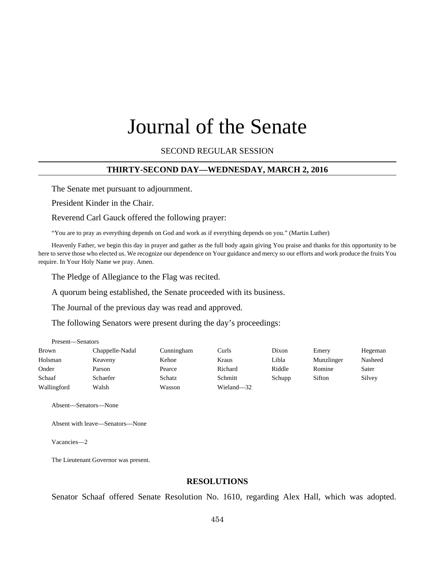# Journal of the Senate

SECOND REGULAR SESSION

# **THIRTY-SECOND DAY—WEDNESDAY, MARCH 2, 2016**

The Senate met pursuant to adjournment.

President Kinder in the Chair.

Reverend Carl Gauck offered the following prayer:

"You are to pray as everything depends on God and work as if everything depends on you." (Martin Luther)

Heavenly Father, we begin this day in prayer and gather as the full body again giving You praise and thanks for this opportunity to be here to serve those who elected us. We recognize our dependence on Your guidance and mercy so our efforts and work produce the fruits You require. In Your Holy Name we pray. Amen.

The Pledge of Allegiance to the Flag was recited.

A quorum being established, the Senate proceeded with its business.

The Journal of the previous day was read and approved.

The following Senators were present during the day's proceedings:

| Present—Senators |                 |            |            |        |            |         |  |  |  |
|------------------|-----------------|------------|------------|--------|------------|---------|--|--|--|
| <b>Brown</b>     | Chappelle-Nadal | Cunningham | Curls      | Dixon  | Emery      | Hegeman |  |  |  |
| Holsman          | Keaveny         | Kehoe      | Kraus      | Libla  | Munzlinger | Nasheed |  |  |  |
| Onder            | Parson          | Pearce     | Richard    | Riddle | Romine     | Sater   |  |  |  |
| Schaaf           | Schaefer        | Schatz     | Schmitt    | Schupp | Sifton     | Silvey  |  |  |  |
| Wallingford      | Walsh           | Wasson     | Wieland-32 |        |            |         |  |  |  |

Absent—Senators—None

Absent with leave—Senators—None

Vacancies—2

The Lieutenant Governor was present.

## **RESOLUTIONS**

Senator Schaaf offered Senate Resolution No. 1610, regarding Alex Hall, which was adopted.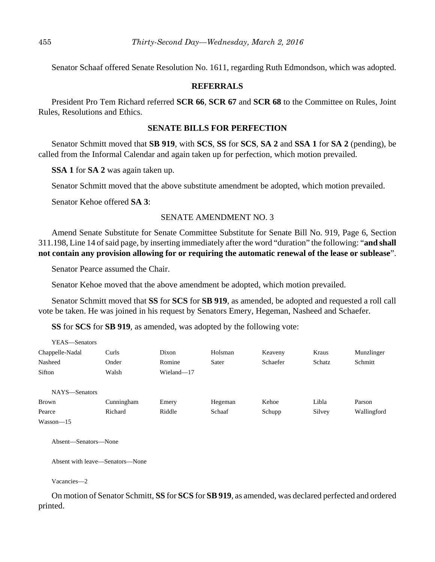Senator Schaaf offered Senate Resolution No. 1611, regarding Ruth Edmondson, which was adopted.

## **REFERRALS**

President Pro Tem Richard referred **SCR 66**, **SCR 67** and **SCR 68** to the Committee on Rules, Joint Rules, Resolutions and Ethics.

## **SENATE BILLS FOR PERFECTION**

Senator Schmitt moved that **SB 919**, with **SCS**, **SS** for **SCS**, **SA 2** and **SSA 1** for **SA 2** (pending), be called from the Informal Calendar and again taken up for perfection, which motion prevailed.

**SSA 1** for **SA 2** was again taken up.

Senator Schmitt moved that the above substitute amendment be adopted, which motion prevailed.

Senator Kehoe offered **SA 3**:

## SENATE AMENDMENT NO. 3

Amend Senate Substitute for Senate Committee Substitute for Senate Bill No. 919, Page 6, Section 311.198, Line 14 of said page, by inserting immediately after the word "duration" the following: "**and shall not contain any provision allowing for or requiring the automatic renewal of the lease or sublease**".

Senator Pearce assumed the Chair.

Senator Kehoe moved that the above amendment be adopted, which motion prevailed.

Senator Schmitt moved that **SS** for **SCS** for **SB 919**, as amended, be adopted and requested a roll call vote be taken. He was joined in his request by Senators Emery, Hegeman, Nasheed and Schaefer.

**SS** for **SCS** for **SB 919**, as amended, was adopted by the following vote:

| YEAS—Senators   |            |            |         |          |        |             |
|-----------------|------------|------------|---------|----------|--------|-------------|
| Chappelle-Nadal | Curls      | Dixon      | Holsman | Keaveny  | Kraus  | Munzlinger  |
| Nasheed         | Onder      | Romine     | Sater   | Schaefer | Schatz | Schmitt     |
| Sifton          | Walsh      | Wieland-17 |         |          |        |             |
| NAYS-Senators   |            |            |         |          |        |             |
| <b>Brown</b>    | Cunningham | Emery      | Hegeman | Kehoe    | Libla  | Parson      |
| Pearce          | Richard    | Riddle     | Schaaf  | Schupp   | Silvey | Wallingford |
| $Wasson-15$     |            |            |         |          |        |             |

Absent—Senators—None

Absent with leave—Senators—None

Vacancies—2

On motion of Senator Schmitt, **SS** for **SCS** for **SB 919**, as amended, was declared perfected and ordered printed.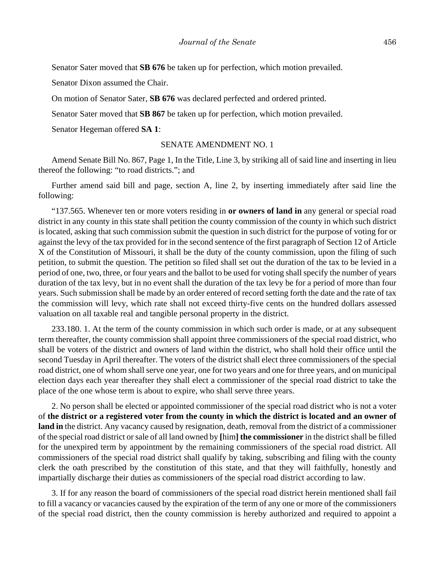Senator Sater moved that **SB 676** be taken up for perfection, which motion prevailed.

Senator Dixon assumed the Chair.

On motion of Senator Sater, **SB 676** was declared perfected and ordered printed.

Senator Sater moved that **SB 867** be taken up for perfection, which motion prevailed.

Senator Hegeman offered **SA 1**:

## SENATE AMENDMENT NO. 1

Amend Senate Bill No. 867, Page 1, In the Title, Line 3, by striking all of said line and inserting in lieu thereof the following: "to road districts."; and

Further amend said bill and page, section A, line 2, by inserting immediately after said line the following:

"137.565. Whenever ten or more voters residing in **or owners of land in** any general or special road district in any county in this state shall petition the county commission of the county in which such district is located, asking that such commission submit the question in such district for the purpose of voting for or against the levy of the tax provided for in the second sentence of the first paragraph of Section 12 of Article X of the Constitution of Missouri, it shall be the duty of the county commission, upon the filing of such petition, to submit the question. The petition so filed shall set out the duration of the tax to be levied in a period of one, two, three, or four years and the ballot to be used for voting shall specify the number of years duration of the tax levy, but in no event shall the duration of the tax levy be for a period of more than four years. Such submission shall be made by an order entered of record setting forth the date and the rate of tax the commission will levy, which rate shall not exceed thirty-five cents on the hundred dollars assessed valuation on all taxable real and tangible personal property in the district.

233.180. 1. At the term of the county commission in which such order is made, or at any subsequent term thereafter, the county commission shall appoint three commissioners of the special road district, who shall be voters of the district and owners of land within the district, who shall hold their office until the second Tuesday in April thereafter. The voters of the district shall elect three commissioners of the special road district, one of whom shall serve one year, one for two years and one for three years, and on municipal election days each year thereafter they shall elect a commissioner of the special road district to take the place of the one whose term is about to expire, who shall serve three years.

2. No person shall be elected or appointed commissioner of the special road district who is not a voter of **the district or a registered voter from the county in which the district is located and an owner of land in** the district. Any vacancy caused by resignation, death, removal from the district of a commissioner of the special road district or sale of all land owned by **[**him**] the commissioner** in the district shall be filled for the unexpired term by appointment by the remaining commissioners of the special road district. All commissioners of the special road district shall qualify by taking, subscribing and filing with the county clerk the oath prescribed by the constitution of this state, and that they will faithfully, honestly and impartially discharge their duties as commissioners of the special road district according to law.

3. If for any reason the board of commissioners of the special road district herein mentioned shall fail to fill a vacancy or vacancies caused by the expiration of the term of any one or more of the commissioners of the special road district, then the county commission is hereby authorized and required to appoint a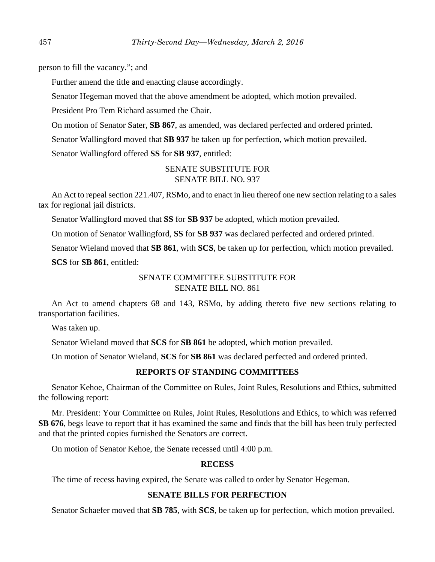person to fill the vacancy."; and

Further amend the title and enacting clause accordingly.

Senator Hegeman moved that the above amendment be adopted, which motion prevailed.

President Pro Tem Richard assumed the Chair.

On motion of Senator Sater, **SB 867**, as amended, was declared perfected and ordered printed. Senator Wallingford moved that **SB 937** be taken up for perfection, which motion prevailed. Senator Wallingford offered **SS** for **SB 937**, entitled:

# SENATE SUBSTITUTE FOR SENATE BILL NO. 937

An Act to repeal section 221.407, RSMo, and to enact in lieu thereof one new section relating to a sales tax for regional jail districts.

Senator Wallingford moved that **SS** for **SB 937** be adopted, which motion prevailed.

On motion of Senator Wallingford, **SS** for **SB 937** was declared perfected and ordered printed.

Senator Wieland moved that **SB 861**, with **SCS**, be taken up for perfection, which motion prevailed.

**SCS** for **SB 861**, entitled:

# SENATE COMMITTEE SUBSTITUTE FOR SENATE BILL NO. 861

An Act to amend chapters 68 and 143, RSMo, by adding thereto five new sections relating to transportation facilities.

Was taken up.

Senator Wieland moved that **SCS** for **SB 861** be adopted, which motion prevailed.

On motion of Senator Wieland, **SCS** for **SB 861** was declared perfected and ordered printed.

# **REPORTS OF STANDING COMMITTEES**

Senator Kehoe, Chairman of the Committee on Rules, Joint Rules, Resolutions and Ethics, submitted the following report:

Mr. President: Your Committee on Rules, Joint Rules, Resolutions and Ethics, to which was referred **SB 676**, begs leave to report that it has examined the same and finds that the bill has been truly perfected and that the printed copies furnished the Senators are correct.

On motion of Senator Kehoe, the Senate recessed until 4:00 p.m.

# **RECESS**

The time of recess having expired, the Senate was called to order by Senator Hegeman.

# **SENATE BILLS FOR PERFECTION**

Senator Schaefer moved that **SB 785**, with **SCS**, be taken up for perfection, which motion prevailed.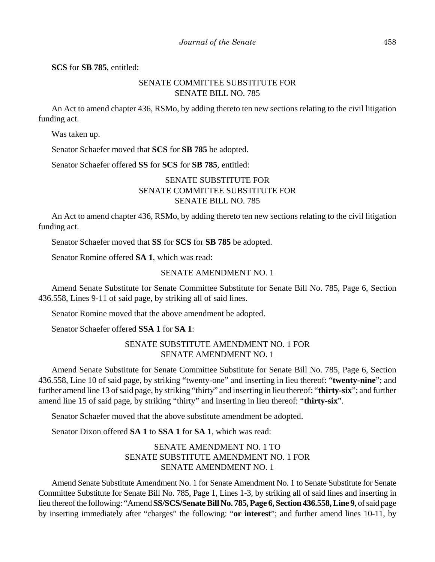**SCS** for **SB 785**, entitled:

# SENATE COMMITTEE SUBSTITUTE FOR SENATE BILL NO. 785

An Act to amend chapter 436, RSMo, by adding thereto ten new sections relating to the civil litigation funding act.

Was taken up.

Senator Schaefer moved that **SCS** for **SB 785** be adopted.

Senator Schaefer offered **SS** for **SCS** for **SB 785**, entitled:

# SENATE SUBSTITUTE FOR SENATE COMMITTEE SUBSTITUTE FOR SENATE BILL NO. 785

An Act to amend chapter 436, RSMo, by adding thereto ten new sections relating to the civil litigation funding act.

Senator Schaefer moved that **SS** for **SCS** for **SB 785** be adopted.

Senator Romine offered **SA 1**, which was read:

## SENATE AMENDMENT NO. 1

Amend Senate Substitute for Senate Committee Substitute for Senate Bill No. 785, Page 6, Section 436.558, Lines 9-11 of said page, by striking all of said lines.

Senator Romine moved that the above amendment be adopted.

Senator Schaefer offered **SSA 1** for **SA 1**:

# SENATE SUBSTITUTE AMENDMENT NO. 1 FOR SENATE AMENDMENT NO. 1

Amend Senate Substitute for Senate Committee Substitute for Senate Bill No. 785, Page 6, Section 436.558, Line 10 of said page, by striking "twenty-one" and inserting in lieu thereof: "**twenty-nine**"; and further amend line 13 of said page, by striking "thirty" and inserting in lieu thereof: "**thirty-six**"; and further amend line 15 of said page, by striking "thirty" and inserting in lieu thereof: "**thirty-six**".

Senator Schaefer moved that the above substitute amendment be adopted.

Senator Dixon offered **SA 1** to **SSA 1** for **SA 1**, which was read:

# SENATE AMENDMENT NO. 1 TO SENATE SUBSTITUTE AMENDMENT NO. 1 FOR SENATE AMENDMENT NO. 1

Amend Senate Substitute Amendment No. 1 for Senate Amendment No. 1 to Senate Substitute for Senate Committee Substitute for Senate Bill No. 785, Page 1, Lines 1-3, by striking all of said lines and inserting in lieu thereof the following: "Amend **SS/SCS/Senate Bill No. 785, Page 6, Section 436.558, Line 9**, of said page by inserting immediately after "charges" the following: "**or interest**"; and further amend lines 10-11, by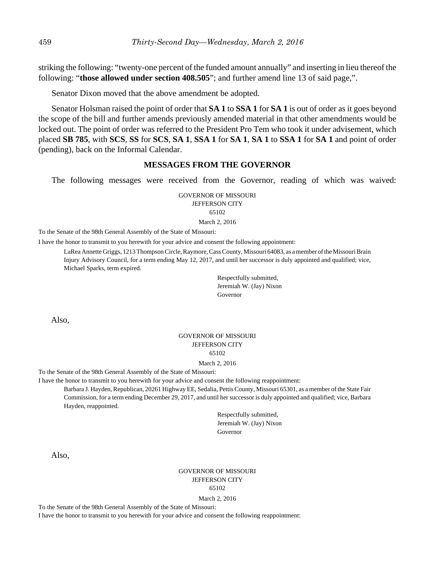striking the following: "twenty-one percent of the funded amount annually" and inserting in lieu thereof the following: "**those allowed under section 408.505**"; and further amend line 13 of said page,".

Senator Dixon moved that the above amendment be adopted.

Senator Holsman raised the point of order that **SA 1** to **SSA 1** for **SA 1** is out of order as it goes beyond the scope of the bill and further amends previously amended material in that other amendments would be locked out. The point of order was referred to the President Pro Tem who took it under advisement, which placed **SB 785**, with **SCS**, **SS** for **SCS**, **SA 1**, **SSA 1** for **SA 1**, **SA 1** to **SSA 1** for **SA 1** and point of order (pending), back on the Informal Calendar.

## **MESSAGES FROM THE GOVERNOR**

The following messages were received from the Governor, reading of which was waived:

GOVERNOR OF MISSOURI JEFFERSON CITY 65102 March 2, 2016

To the Senate of the 98th General Assembly of the State of Missouri:

I have the honor to transmit to you herewith for your advice and consent the following appointment:

LaRea Annette Griggs, 1213 Thompson Circle, Raymore, Cass County, Missouri 64083, as a member of the Missouri Brain Injury Advisory Council, for a term ending May 12, 2017, and until her successor is duly appointed and qualified; vice, Michael Sparks, term expired.

> Respectfully submitted, Jeremiah W. (Jay) Nixon Governor

Also,

## GOVERNOR OF MISSOURI JEFFERSON CITY 65102

March 2, 2016

To the Senate of the 98th General Assembly of the State of Missouri:

I have the honor to transmit to you herewith for your advice and consent the following reappointment:

Barbara J. Hayden, Republican, 20261 Highway EE, Sedalia, Pettis County, Missouri 65301, as a member of the State Fair Commission, for a term ending December 29, 2017, and until her successor is duly appointed and qualified; vice, Barbara Hayden, reappointed.

> Respectfully submitted, Jeremiah W. (Jay) Nixon Governor

Also,

## GOVERNOR OF MISSOURI JEFFERSON CITY 65102

March 2, 2016

To the Senate of the 98th General Assembly of the State of Missouri:

I have the honor to transmit to you herewith for your advice and consent the following reappointment: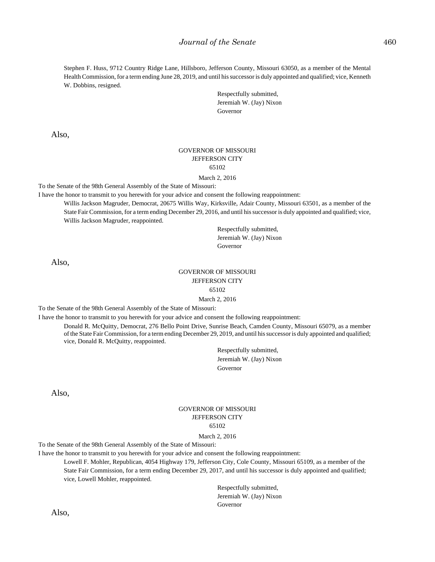Stephen F. Huss, 9712 Country Ridge Lane, Hillsboro, Jefferson County, Missouri 63050, as a member of the Mental Health Commission, for a term ending June 28, 2019, and until his successor is duly appointed and qualified; vice, Kenneth W. Dobbins, resigned.

> Respectfully submitted, Jeremiah W. (Jay) Nixon Governor

Also,

#### GOVERNOR OF MISSOURI JEFFERSON CITY 65102

March 2, 2016

To the Senate of the 98th General Assembly of the State of Missouri:

I have the honor to transmit to you herewith for your advice and consent the following reappointment:

Willis Jackson Magruder, Democrat, 20675 Willis Way, Kirksville, Adair County, Missouri 63501, as a member of the State Fair Commission, for a term ending December 29, 2016, and until his successor is duly appointed and qualified; vice, Willis Jackson Magruder, reappointed.

> Respectfully submitted, Jeremiah W. (Jay) Nixon Governor

Also,

## GOVERNOR OF MISSOURI JEFFERSON CITY 65102 March 2, 2016

To the Senate of the 98th General Assembly of the State of Missouri:

I have the honor to transmit to you herewith for your advice and consent the following reappointment:

Donald R. McQuitty, Democrat, 276 Bello Point Drive, Sunrise Beach, Camden County, Missouri 65079, as a member of the State Fair Commission, for a term ending December 29, 2019, and until his successor is duly appointed and qualified; vice, Donald R. McQuitty, reappointed.

> Respectfully submitted, Jeremiah W. (Jay) Nixon Governor

Also,

#### GOVERNOR OF MISSOURI JEFFERSON CITY 65102

#### March 2, 2016

To the Senate of the 98th General Assembly of the State of Missouri:

I have the honor to transmit to you herewith for your advice and consent the following reappointment:

Lowell F. Mohler, Republican, 4054 Highway 179, Jefferson City, Cole County, Missouri 65109, as a member of the State Fair Commission, for a term ending December 29, 2017, and until his successor is duly appointed and qualified; vice, Lowell Mohler, reappointed.

> Respectfully submitted, Jeremiah W. (Jay) Nixon Governor

Also,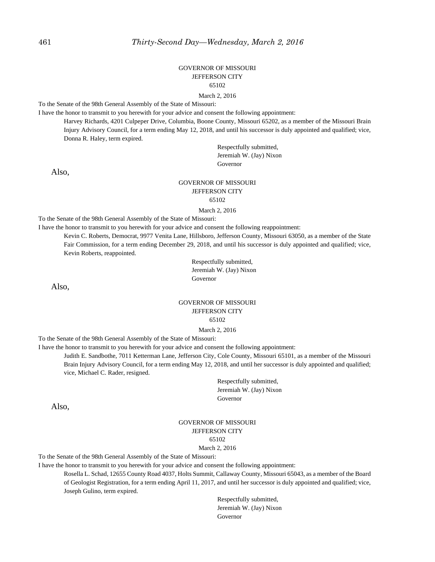#### GOVERNOR OF MISSOURI JEFFERSON CITY 65102

March 2, 2016

To the Senate of the 98th General Assembly of the State of Missouri:

I have the honor to transmit to you herewith for your advice and consent the following appointment:

Harvey Richards, 4201 Culpeper Drive, Columbia, Boone County, Missouri 65202, as a member of the Missouri Brain Injury Advisory Council, for a term ending May 12, 2018, and until his successor is duly appointed and qualified; vice, Donna R. Haley, term expired.

> Respectfully submitted, Jeremiah W. (Jay) Nixon Governor

Also,

#### GOVERNOR OF MISSOURI JEFFERSON CITY

65102

March 2, 2016

To the Senate of the 98th General Assembly of the State of Missouri:

I have the honor to transmit to you herewith for your advice and consent the following reappointment:

Kevin C. Roberts, Democrat, 9977 Venita Lane, Hillsboro, Jefferson County, Missouri 63050, as a member of the State Fair Commission, for a term ending December 29, 2018, and until his successor is duly appointed and qualified; vice, Kevin Roberts, reappointed.

> Respectfully submitted, Jeremiah W. (Jay) Nixon Governor

Also,

#### GOVERNOR OF MISSOURI JEFFERSON CITY 65102

March 2, 2016

To the Senate of the 98th General Assembly of the State of Missouri:

I have the honor to transmit to you herewith for your advice and consent the following appointment:

Judith E. Sandbothe, 7011 Ketterman Lane, Jefferson City, Cole County, Missouri 65101, as a member of the Missouri Brain Injury Advisory Council, for a term ending May 12, 2018, and until her successor is duly appointed and qualified; vice, Michael C. Rader, resigned.

> Respectfully submitted, Jeremiah W. (Jay) Nixon Governor

Also,

#### GOVERNOR OF MISSOURI JEFFERSON CITY 65102

March 2, 2016

To the Senate of the 98th General Assembly of the State of Missouri:

I have the honor to transmit to you herewith for your advice and consent the following appointment:

Rosella L. Schad, 12655 County Road 4037, Holts Summit, Callaway County, Missouri 65043, as a member of the Board of Geologist Registration, for a term ending April 11, 2017, and until her successor is duly appointed and qualified; vice, Joseph Gulino, term expired.

> Respectfully submitted, Jeremiah W. (Jay) Nixon Governor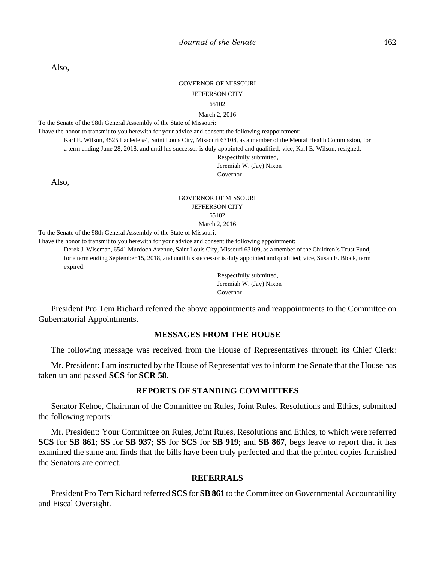Also,

#### GOVERNOR OF MISSOURI JEFFERSON CITY

#### 65102

March 2, 2016

To the Senate of the 98th General Assembly of the State of Missouri:

I have the honor to transmit to you herewith for your advice and consent the following reappointment:

Karl E. Wilson, 4525 Laclede #4, Saint Louis City, Missouri 63108, as a member of the Mental Health Commission, for a term ending June 28, 2018, and until his successor is duly appointed and qualified; vice, Karl E. Wilson, resigned.

Respectfully submitted,

Jeremiah W. (Jay) Nixon

Governor

Also,

#### GOVERNOR OF MISSOURI JEFFERSON CITY 65102 March 2, 2016

To the Senate of the 98th General Assembly of the State of Missouri:

I have the honor to transmit to you herewith for your advice and consent the following appointment:

Derek J. Wiseman, 6541 Murdoch Avenue, Saint Louis City, Missouri 63109, as a member of the Children's Trust Fund, for a term ending September 15, 2018, and until his successor is duly appointed and qualified; vice, Susan E. Block, term expired.

> Respectfully submitted, Jeremiah W. (Jay) Nixon Governor

President Pro Tem Richard referred the above appointments and reappointments to the Committee on Gubernatorial Appointments.

## **MESSAGES FROM THE HOUSE**

The following message was received from the House of Representatives through its Chief Clerk:

Mr. President: I am instructed by the House of Representatives to inform the Senate that the House has taken up and passed **SCS** for **SCR 58**.

## **REPORTS OF STANDING COMMITTEES**

Senator Kehoe, Chairman of the Committee on Rules, Joint Rules, Resolutions and Ethics, submitted the following reports:

Mr. President: Your Committee on Rules, Joint Rules, Resolutions and Ethics, to which were referred **SCS** for **SB 861**; **SS** for **SB 937**; **SS** for **SCS** for **SB 919**; and **SB 867**, begs leave to report that it has examined the same and finds that the bills have been truly perfected and that the printed copies furnished the Senators are correct.

## **REFERRALS**

President Pro Tem Richard referred **SCS** for **SB 861** to the Committee on Governmental Accountability and Fiscal Oversight.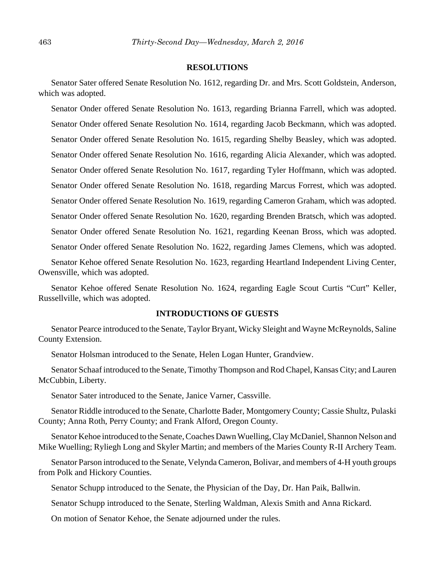#### **RESOLUTIONS**

Senator Sater offered Senate Resolution No. 1612, regarding Dr. and Mrs. Scott Goldstein, Anderson, which was adopted.

Senator Onder offered Senate Resolution No. 1613, regarding Brianna Farrell, which was adopted. Senator Onder offered Senate Resolution No. 1614, regarding Jacob Beckmann, which was adopted. Senator Onder offered Senate Resolution No. 1615, regarding Shelby Beasley, which was adopted. Senator Onder offered Senate Resolution No. 1616, regarding Alicia Alexander, which was adopted. Senator Onder offered Senate Resolution No. 1617, regarding Tyler Hoffmann, which was adopted. Senator Onder offered Senate Resolution No. 1618, regarding Marcus Forrest, which was adopted. Senator Onder offered Senate Resolution No. 1619, regarding Cameron Graham, which was adopted. Senator Onder offered Senate Resolution No. 1620, regarding Brenden Bratsch, which was adopted. Senator Onder offered Senate Resolution No. 1621, regarding Keenan Bross, which was adopted. Senator Onder offered Senate Resolution No. 1622, regarding James Clemens, which was adopted. Senator Kehoe offered Senate Resolution No. 1623, regarding Heartland Independent Living Center, Owensville, which was adopted.

Senator Kehoe offered Senate Resolution No. 1624, regarding Eagle Scout Curtis "Curt" Keller, Russellville, which was adopted.

## **INTRODUCTIONS OF GUESTS**

Senator Pearce introduced to the Senate, Taylor Bryant, Wicky Sleight and Wayne McReynolds, Saline County Extension.

Senator Holsman introduced to the Senate, Helen Logan Hunter, Grandview.

Senator Schaaf introduced to the Senate, Timothy Thompson and Rod Chapel, Kansas City; and Lauren McCubbin, Liberty.

Senator Sater introduced to the Senate, Janice Varner, Cassville.

Senator Riddle introduced to the Senate, Charlotte Bader, Montgomery County; Cassie Shultz, Pulaski County; Anna Roth, Perry County; and Frank Alford, Oregon County.

Senator Kehoe introduced to the Senate, Coaches Dawn Wuelling, Clay McDaniel, Shannon Nelson and Mike Wuelling; Ryliegh Long and Skyler Martin; and members of the Maries County R-II Archery Team.

Senator Parson introduced to the Senate, Velynda Cameron, Bolivar, and members of 4-H youth groups from Polk and Hickory Counties.

Senator Schupp introduced to the Senate, the Physician of the Day, Dr. Han Paik, Ballwin.

Senator Schupp introduced to the Senate, Sterling Waldman, Alexis Smith and Anna Rickard.

On motion of Senator Kehoe, the Senate adjourned under the rules.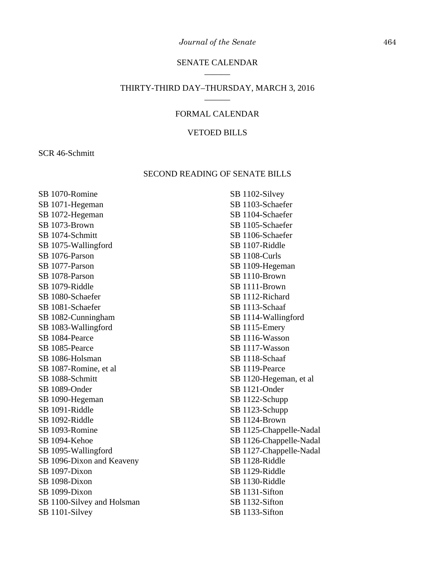## SENATE CALENDAR  $\overline{\phantom{a}}$

#### THIRTY-THIRD DAY–THURSDAY, MARCH 3, 2016 \_\_\_\_\_\_

# FORMAL CALENDAR

# VETOED BILLS

SCR 46-Schmitt

## SECOND READING OF SENATE BILLS

SB 1070-Romine SB 1071-Hegeman SB 1072-Hegeman SB 1073-Brown SB 1074-Schmitt SB 1075-Wallingford SB 1076-Parson SB 1077-Parson SB 1078-Parson SB 1079-Riddle SB 1080-Schaefer SB 1081-Schaefer SB 1082-Cunningham SB 1083-Wallingford SB 1084-Pearce SB 1085-Pearce SB 1086-Holsman SB 1087-Romine, et al SB 1088-Schmitt SB 1089-Onder SB 1090-Hegeman SB 1091-Riddle SB 1092-Riddle SB 1093-Romine SB 1094-Kehoe SB 1095-Wallingford SB 1096-Dixon and Keaveny SB 1097-Dixon SB 1098-Dixon SB 1099-Dixon SB 1100-Silvey and Holsman SB 1101-Silvey

SB 1102-Silvey SB 1103-Schaefer SB 1104-Schaefer SB 1105-Schaefer SB 1106-Schaefer SB 1107-Riddle SB 1108-Curls SB 1109-Hegeman SB 1110-Brown SB 1111-Brown SB 1112-Richard SB 1113-Schaaf SB 1114-Wallingford SB 1115-Emery SB 1116-Wasson SB 1117-Wasson SB 1118-Schaaf SB 1119-Pearce SB 1120-Hegeman, et al SB 1121-Onder SB 1122-Schupp SB 1123-Schupp SB 1124-Brown SB 1125-Chappelle-Nadal SB 1126-Chappelle-Nadal SB 1127-Chappelle-Nadal SB 1128-Riddle SB 1129-Riddle SB 1130-Riddle SB 1131-Sifton SB 1132-Sifton SB 1133-Sifton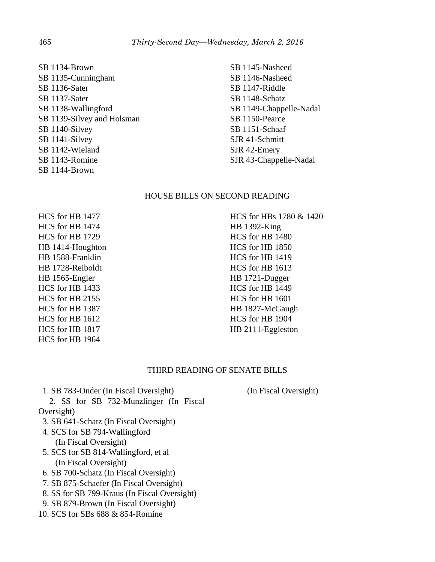SB 1134-Brown SB 1135-Cunningham SB 1136-Sater SB 1137-Sater SB 1138-Wallingford SB 1139-Silvey and Holsman SB 1140-Silvey SB 1141-Silvey SB 1142-Wieland SB 1143-Romine SB 1144-Brown

SB 1145-Nasheed SB 1146-Nasheed SB 1147-Riddle SB 1148-Schatz SB 1149-Chappelle-Nadal SB 1150-Pearce SB 1151-Schaaf SJR 41-Schmitt SJR 42-Emery SJR 43-Chappelle-Nadal

# HOUSE BILLS ON SECOND READING

HCS for HB 1477 HCS for HB 1474 HCS for HB 1729 HB 1414-Houghton HB 1588-Franklin HB 1728-Reiboldt HB 1565-Engler HCS for HB 1433 HCS for HB 2155 HCS for HB 1387 HCS for HB 1612 HCS for HB 1817 HCS for HB 1964

HCS for HBs 1780 & 1420 HB 1392-King HCS for HB 1480 HCS for HB 1850 HCS for HB 1419 HCS for HB 1613 HB 1721-Dugger HCS for HB 1449 HCS for HB 1601 HB 1827-McGaugh HCS for HB 1904 HB 2111-Eggleston

## THIRD READING OF SENATE BILLS

1. SB 783-Onder (In Fiscal Oversight)

(In Fiscal Oversight)

- 2. SS for SB 732-Munzlinger (In Fiscal Oversight)
- 3. SB 641-Schatz (In Fiscal Oversight)
- 4. SCS for SB 794-Wallingford (In Fiscal Oversight)
- 5. SCS for SB 814-Wallingford, et al (In Fiscal Oversight)
- 6. SB 700-Schatz (In Fiscal Oversight)
- 7. SB 875-Schaefer (In Fiscal Oversight)
- 8. SS for SB 799-Kraus (In Fiscal Oversight)
- 9. SB 879-Brown (In Fiscal Oversight)
- 10. SCS for SBs 688 & 854-Romine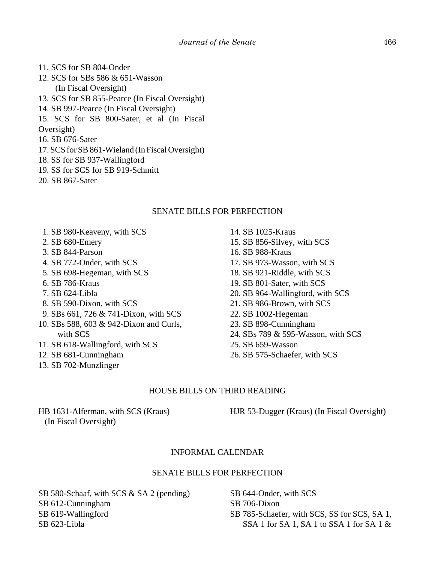- 11. SCS for SB 804-Onder 12. SCS for SBs 586 & 651-Wasson (In Fiscal Oversight) 13. SCS for SB 855-Pearce (In Fiscal Oversight) 14. SB 997-Pearce (In Fiscal Oversight) 15. SCS for SB 800-Sater, et al (In Fiscal Oversight) 16. SB 676-Sater 17. SCS for SB 861-Wieland (In Fiscal Oversight) 18. SS for SB 937-Wallingford 19. SS for SCS for SB 919-Schmitt
- 20. SB 867-Sater

## SENATE BILLS FOR PERFECTION

- 1. SB 980-Keaveny, with SCS
- 2. SB 680-Emery
- 3. SB 844-Parson
- 4. SB 772-Onder, with SCS
- 5. SB 698-Hegeman, with SCS
- 6. SB 786-Kraus
- 7. SB 624-Libla
- 8. SB 590-Dixon, with SCS
- 9. SBs 661, 726 & 741-Dixon, with SCS
- 10. SBs 588, 603 & 942-Dixon and Curls, with SCS
- 11. SB 618-Wallingford, with SCS
- 12. SB 681-Cunningham
- 13. SB 702-Munzlinger
- 14. SB 1025-Kraus 15. SB 856-Silvey, with SCS 16. SB 988-Kraus 17. SB 973-Wasson, with SCS 18. SB 921-Riddle, with SCS 19. SB 801-Sater, with SCS 20. SB 964-Wallingford, with SCS 21. SB 986-Brown, with SCS 22. SB 1002-Hegeman 23. SB 898-Cunningham 24. SBs 789 & 595-Wasson, with SCS 25. SB 659-Wasson
- 26. SB 575-Schaefer, with SCS

# HOUSE BILLS ON THIRD READING

HB 1631-Alferman, with SCS (Kraus) (In Fiscal Oversight)

HJR 53-Dugger (Kraus) (In Fiscal Oversight)

## INFORMAL CALENDAR

## SENATE BILLS FOR PERFECTION

SB 580-Schaaf, with SCS & SA 2 (pending) SB 612-Cunningham SB 619-Wallingford SB 623-Libla

SB 644-Onder, with SCS SB 706-Dixon SB 785-Schaefer, with SCS, SS for SCS, SA 1, SSA 1 for SA 1, SA 1 to SSA 1 for SA 1 &